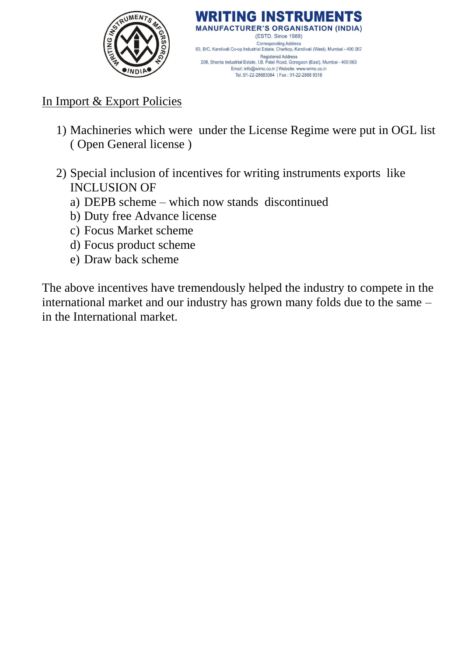

**WRITING INSTRUMENTS URER'S ORGANISATION** (ESTD. Since 1988) **Corresponding Address** 63, B/C, Kandivali Co-op Industrial Estate, Charkop, Kandivali (West), Mumbai - 400 067 **Registered Address** 208, Shanta Industrial Estate, I.B. Patel Road, Goregaon (East), Mumbai - 400 063 Email: info@wimo.co.in | Website: www.wimo.co.in Tel.:91-22-28683084 | Fax: 91-22-2868 9318

## In Import & Export Policies

- 1) Machineries which were under the License Regime were put in OGL list ( Open General license )
- 2) Special inclusion of incentives for writing instruments exports like INCLUSION OF
	- a) DEPB scheme which now stands discontinued
	- b) Duty free Advance license
	- c) Focus Market scheme
	- d) Focus product scheme
	- e) Draw back scheme

The above incentives have tremendously helped the industry to compete in the international market and our industry has grown many folds due to the same – in the International market.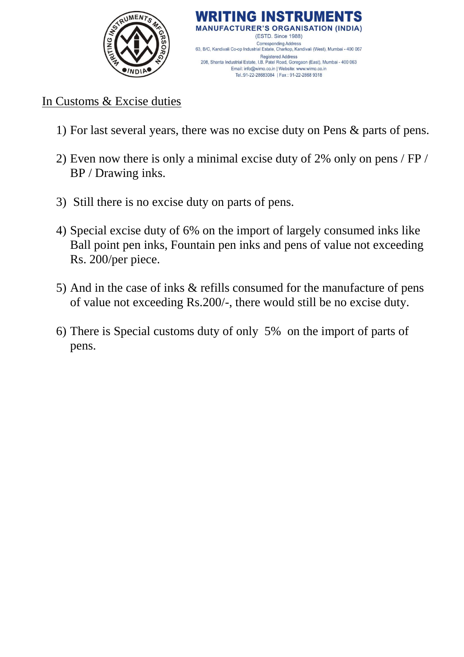

## In Customs & Excise duties

- 1) For last several years, there was no excise duty on Pens & parts of pens.
- 2) Even now there is only a minimal excise duty of 2% only on pens / FP / BP / Drawing inks.
- 3) Still there is no excise duty on parts of pens.
- 4) Special excise duty of 6% on the import of largely consumed inks like Ball point pen inks, Fountain pen inks and pens of value not exceeding Rs. 200/per piece.
- 5) And in the case of inks & refills consumed for the manufacture of pens of value not exceeding Rs.200/-, there would still be no excise duty.
- 6) There is Special customs duty of only 5% on the import of parts of pens.